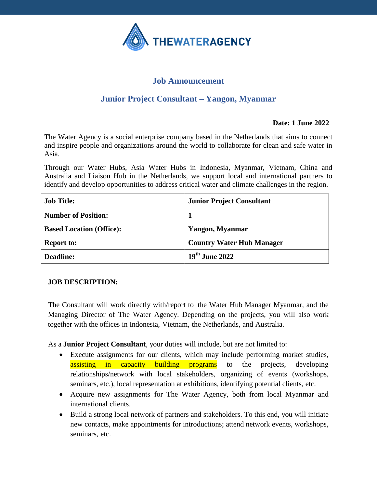

# **Job Announcement**

# **Junior Project Consultant – Yangon, Myanmar**

### **Date: 1 June 2022**

The Water Agency is a social enterprise company based in the Netherlands that aims to connect and inspire people and organizations around the world to collaborate for clean and safe water in Asia.

Through our Water Hubs, Asia Water Hubs in Indonesia, Myanmar, Vietnam, China and Australia and Liaison Hub in the Netherlands, we support local and international partners to identify and develop opportunities to address critical water and climate challenges in the region.

| <b>Job Title:</b>               | <b>Junior Project Consultant</b> |
|---------------------------------|----------------------------------|
| <b>Number of Position:</b>      |                                  |
| <b>Based Location (Office):</b> | Yangon, Myanmar                  |
| <b>Report to:</b>               | <b>Country Water Hub Manager</b> |
| <b>Deadline:</b>                | 19 <sup>th</sup> June 2022       |

#### **JOB DESCRIPTION:**

The Consultant will work directly with/report to the Water Hub Manager Myanmar, and the Managing Director of The Water Agency. Depending on the projects, you will also work together with the offices in Indonesia, Vietnam, the Netherlands, and Australia.

As a **Junior Project Consultant**, your duties will include, but are not limited to:

- Execute assignments for our clients, which may include performing market studies, assisting in capacity building programs to the projects, developing relationships/network with local stakeholders, organizing of events (workshops, seminars, etc.), local representation at exhibitions, identifying potential clients, etc.
- Acquire new assignments for The Water Agency, both from local Myanmar and international clients.
- Build a strong local network of partners and stakeholders. To this end, you will initiate new contacts, make appointments for introductions; attend network events, workshops, seminars, etc.